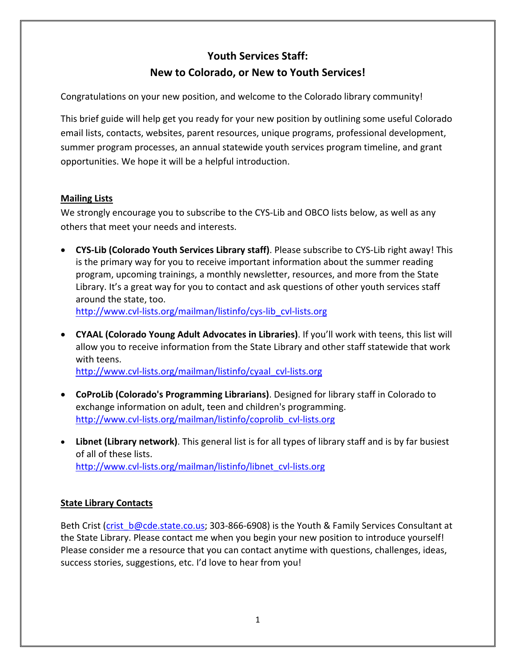# **Youth Services Staff: New to Colorado, or New to Youth Services!**

Congratulations on your new position, and welcome to the Colorado library community!

This brief guide will help get you ready for your new position by outlining some useful Colorado email lists, contacts, websites, parent resources, unique programs, professional development, summer program processes, an annual statewide youth services program timeline, and grant opportunities. We hope it will be a helpful introduction.

# **Mailing Lists**

We strongly encourage you to subscribe to the CYS-Lib and OBCO lists below, as well as any others that meet your needs and interests.

- **CYS-Lib (Colorado Youth Services Library staff)**. Please subscribe to CYS-Lib right away! This is the primary way for you to receive important information about the summer reading program, upcoming trainings, a monthly newsletter, resources, and more from the State Library. It's a great way for you to contact and ask questions of other youth services staff around the state, too. [http://www.cvl-lists.org/mailman/listinfo/cys-lib\\_cvl-lists.org](http://www.cvl-lists.org/mailman/listinfo/cys-lib_cvl-lists.org)
- **CYAAL (Colorado Young Adult Advocates in Libraries)**. If you'll work with teens, this list will allow you to receive information from the State Library and other staff statewide that work with teens.

[http://www.cvl-lists.org/mailman/listinfo/cyaal\\_cvl-lists.org](http://www.cvl-lists.org/mailman/listinfo/cyaal_cvl-lists.org)

- **CoProLib (Colorado's Programming Librarians)**. Designed for library staff in Colorado to exchange information on adult, teen and children's programming. [http://www.cvl-lists.org/mailman/listinfo/coprolib\\_cvl-lists.org](http://www.cvl-lists.org/mailman/listinfo/coprolib_cvl-lists.org)
- **Libnet (Library network)**. This general list is for all types of library staff and is by far busiest of all of these lists. [http://www.cvl-lists.org/mailman/listinfo/libnet\\_cvl-lists.org](http://www.cvl-lists.org/mailman/listinfo/libnet_cvl-lists.org)

# **State Library Contacts**

Beth Crist (crist b@cde.state.co.us; 303-866-6908) is the Youth & Family Services Consultant at the State Library. Please contact me when you begin your new position to introduce yourself! Please consider me a resource that you can contact anytime with questions, challenges, ideas, success stories, suggestions, etc. I'd love to hear from you!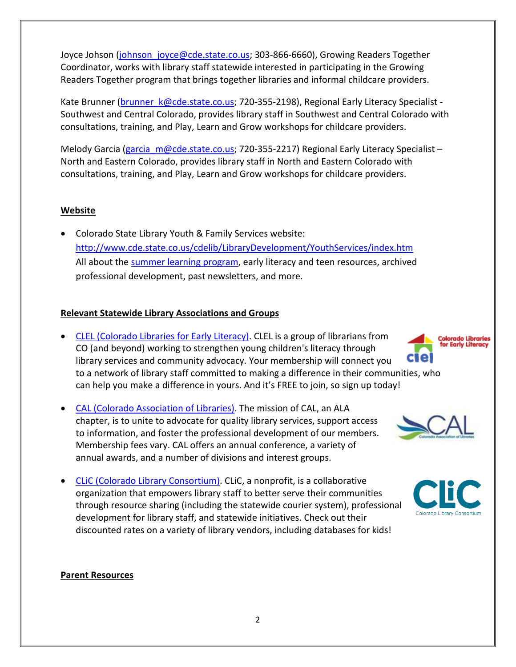Joyce Johson [\(johnson\\_joyce@cde.state.co.us;](mailto:johnson_joyce@cde.state.co.us) 303-866-6660), Growing Readers Together Coordinator, works with library staff statewide interested in participating in the Growing Readers Together program that brings together libraries and informal childcare providers.

Kate Brunner (brunner k@cde.state.co.us; 720-355-2198), Regional Early Literacy Specialist -Southwest and Central Colorado, provides library staff in Southwest and Central Colorado with consultations, training, and Play, Learn and Grow workshops for childcare providers.

Melody Garcia (garcia m@cde.state.co.us; 720-355-2217) Regional Early Literacy Specialist – North and Eastern Colorado, provides library staff in North and Eastern Colorado with consultations, training, and Play, Learn and Grow workshops for childcare providers.

### **Website**

• Colorado State Library Youth & Family Services website: <http://www.cde.state.co.us/cdelib/LibraryDevelopment/YouthServices/index.htm> All about the [summer learning](http://www.cde.state.co.us/cdelib/SummerReading/index.htm) program, early literacy and teen resources, archived professional development, past newsletters, and more.

### **Relevant Statewide Library Associations and Groups**

- [CLEL \(Colorado Libraries for Early Literacy\).](http://www.clel.org/) CLEL is a group of librarians from CO (and beyond) working to strengthen young children's literacy through library services and community advocacy. Your membership will connect you to a network of library staff committed to making a difference in their communities, who can help you make a difference in yours. And it's FREE to join, so sign up today!
- [CAL \(Colorado Association of Libraries\).](https://calwebs.site-ym.com/) The mission of CAL, an ALA chapter, is to unite to advocate for quality library services, support access to information, and foster the professional development of our members. Membership fees vary. CAL offers an annual conference, a variety of annual awards, and a number of divisions and interest groups.
- [CLiC \(Colorado Library Consortium\).](http://www.clicweb.org/index.php) CLiC, a nonprofit, is a collaborative organization that empowers library staff to better serve their communities through resource sharing (including the statewide courier system), professional development for library staff, and statewide initiatives. Check out their discounted rates on a variety of library vendors, including databases for kids!

#### **Parent Resources**



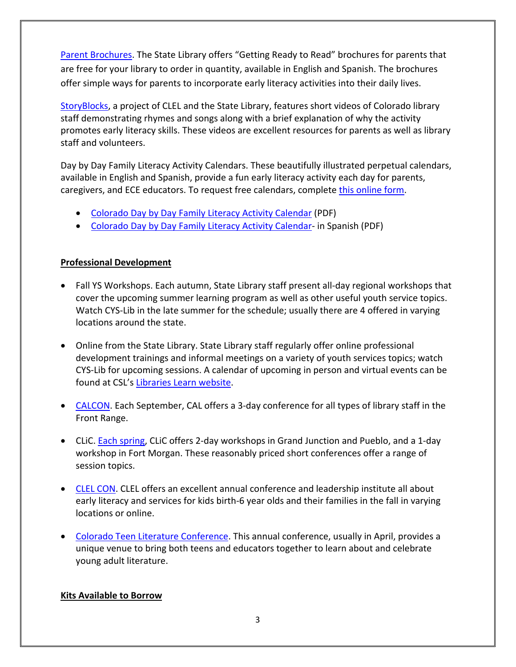[Parent Brochures.](https://docs.google.com/forms/d/1mPA5M5R9YtTJ5u5DHPgw9JV5atGAq5qUsbPfn_Jo-KU/viewform?edit_requested=true) The State Library offers "Getting Ready to Read" brochures for parents that are free for your library to order in quantity, available in English and Spanish. The brochures offer simple ways for parents to incorporate early literacy activities into their daily lives.

[StoryBlocks,](http://www.storyblocks.org/) a project of CLEL and the State Library, features short videos of Colorado library staff demonstrating rhymes and songs along with a brief explanation of why the activity promotes early literacy skills. These videos are excellent resources for parents as well as library staff and volunteers.

Day by Day Family Literacy Activity Calendars. These beautifully illustrated perpetual calendars, available in English and Spanish, provide a fun early literacy activity each day for parents, caregivers, and ECE educators. To request free calendars, complete [this online form.](https://www.surveygizmo.com/s3/3934748/colorado-day-by-day-family-calendar-request-form)

- [Colorado Day by Day Family Literacy Activity Calendar](https://www.cde.state.co.us/cdelib/colorado-day-by-day-family-literacy-activity-calendar-pdf) (PDF)
- [Colorado Day by Day Family Literacy Activity Calendar-](https://www.cde.state.co.us/cdelib/grtcalendarspanish) in Spanish (PDF)

### **Professional Development**

- Fall YS Workshops. Each autumn, State Library staff present all-day regional workshops that cover the upcoming summer learning program as well as other useful youth service topics. Watch CYS-Lib in the late summer for the schedule; usually there are 4 offered in varying locations around the state.
- Online from the State Library. State Library staff regularly offer online professional development trainings and informal meetings on a variety of youth services topics; watch CYS-Lib for upcoming sessions. A calendar of upcoming in person and virtual events can be found at CSL's [Libraries Learn website.](https://www.librarieslearn.org/)
- [CALCON.](http://www.cal-webs.org/) Each September, CAL offers a 3-day conference for all types of library staff in the Front Range.
- CLiC. [Each spring,](http://www.clicweb.org/training-and-education/clic-workshops/clic-workshops) CLiC offers 2-day workshops in Grand Junction and Pueblo, and a 1-day workshop in Fort Morgan. These reasonably priced short conferences offer a range of session topics.
- [CLEL CON.](http://www.clel.org/#!conference/c1uj9) CLEL offers an excellent annual conference and leadership institute all about early literacy and services for kids birth-6 year olds and their families in the fall in varying locations or online.
- [Colorado Teen Literature Conference.](http://coteenlitconf.wixsite.com/ctlc) This annual conference, usually in April, provides a unique venue to bring both teens and educators together to learn about and celebrate young adult literature.

### **Kits Available to Borrow**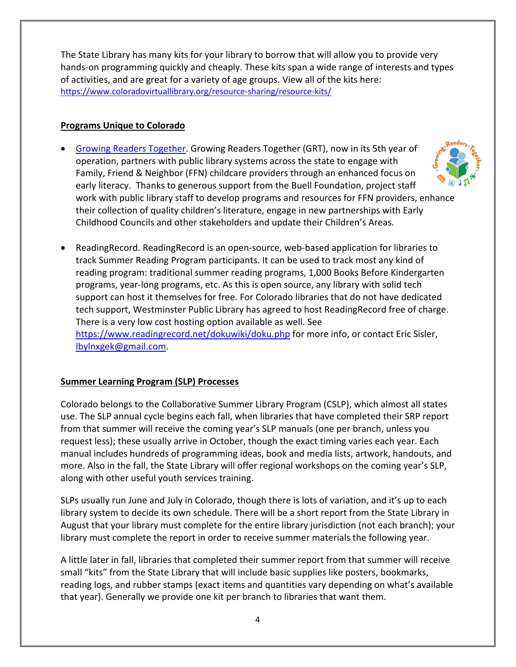The State Library has many kits for your library to borrow that will allow you to provide very hands-on programming quickly and cheaply. These kits span a wide range of interests and types of activities, and are great for a variety of age groups. View all of the kits here: <https://www.coloradovirtuallibrary.org/resource-sharing/resource-kits/>

# **Programs Unique to Colorado**

- [Growing Readers Together.](https://www.cde.state.co.us/cdelib/growingreaderstogether) Growing Readers Together (GRT), now in its 5th year of operation, partners with public library systems across the state to engage with Family, Friend & Neighbor (FFN) childcare providers through an enhanced focus on early literacy. Thanks to generous support from the Buell Foundation, project staff work with public library staff to develop programs and resources for FFN providers, enhance their collection of quality children's literature, engage in new partnerships with Early Childhood Councils and other stakeholders and update their Children's Areas.
- ReadingRecord. ReadingRecord is an open-source, web-based application for libraries to track Summer Reading Program participants. It can be used to track most any kind of reading program: traditional summer reading programs, 1,000 Books Before Kindergarten programs, year-long programs, etc. As this is open source, any library with solid tech support can host it themselves for free. For Colorado libraries that do not have dedicated tech support, Westminster Public Library has agreed to host ReadingRecord free of charge. There is a very low cost hosting option available as well. See <https://www.readingrecord.net/dokuwiki/doku.php> for more info, or contact Eric Sisler, [lbylnxgek@gmail.com.](mailto:lbylnxgek@gmail.com)

# **Summer Learning Program (SLP) Processes**

Colorado belongs to the Collaborative Summer Library Program (CSLP), which almost all states use. The SLP annual cycle begins each fall, when libraries that have completed their SRP report from that summer will receive the coming year's SLP manuals (one per branch, unless you request less); these usually arrive in October, though the exact timing varies each year. Each manual includes hundreds of programming ideas, book and media lists, artwork, handouts, and more. Also in the fall, the State Library will offer regional workshops on the coming year's SLP, along with other useful youth services training.

SLPs usually run June and July in Colorado, though there is lots of variation, and it's up to each library system to decide its own schedule. There will be a short report from the State Library in August that your library must complete for the entire library jurisdiction (not each branch); your library must complete the report in order to receive summer materials the following year.

A little later in fall, libraries that completed their summer report from that summer will receive small "kits" from the State Library that will include basic supplies like posters, bookmarks, reading logs, and rubber stamps (exact items and quantities vary depending on what's available that year). Generally we provide one kit per branch to libraries that want them.